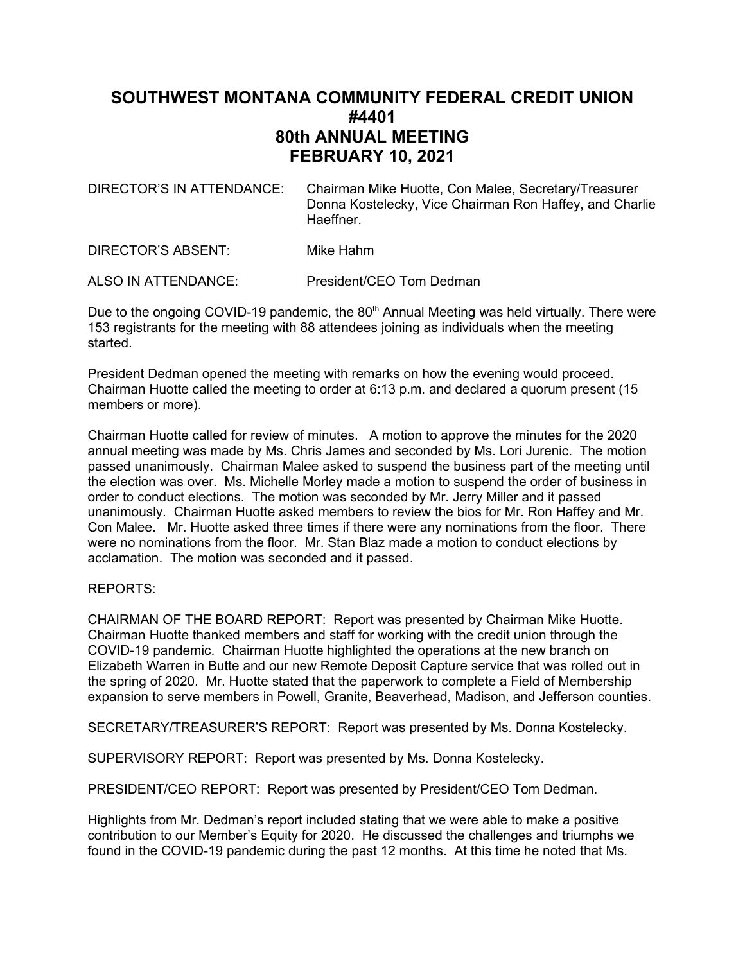## **SOUTHWEST MONTANA COMMUNITY FEDERAL CREDIT UNION #4401 80th ANNUAL MEETING FEBRUARY 10, 2021**

| DIRECTOR'S IN ATTENDANCE: | Chairman Mike Huotte, Con Malee, Secretary/Treasurer    |
|---------------------------|---------------------------------------------------------|
|                           | Donna Kostelecky, Vice Chairman Ron Haffey, and Charlie |
|                           | Haeffner.                                               |

DIRECTOR'S ABSENT: Mike Hahm

ALSO IN ATTENDANCE: President/CEO Tom Dedman

Due to the ongoing COVID-19 pandemic, the 80<sup>th</sup> Annual Meeting was held virtually. There were 153 registrants for the meeting with 88 attendees joining as individuals when the meeting started.

President Dedman opened the meeting with remarks on how the evening would proceed. Chairman Huotte called the meeting to order at 6:13 p.m. and declared a quorum present (15 members or more).

Chairman Huotte called for review of minutes. A motion to approve the minutes for the 2020 annual meeting was made by Ms. Chris James and seconded by Ms. Lori Jurenic. The motion passed unanimously. Chairman Malee asked to suspend the business part of the meeting until the election was over. Ms. Michelle Morley made a motion to suspend the order of business in order to conduct elections. The motion was seconded by Mr. Jerry Miller and it passed unanimously. Chairman Huotte asked members to review the bios for Mr. Ron Haffey and Mr. Con Malee. Mr. Huotte asked three times if there were any nominations from the floor. There were no nominations from the floor. Mr. Stan Blaz made a motion to conduct elections by acclamation. The motion was seconded and it passed.

## REPORTS:

CHAIRMAN OF THE BOARD REPORT: Report was presented by Chairman Mike Huotte. Chairman Huotte thanked members and staff for working with the credit union through the COVID-19 pandemic. Chairman Huotte highlighted the operations at the new branch on Elizabeth Warren in Butte and our new Remote Deposit Capture service that was rolled out in the spring of 2020. Mr. Huotte stated that the paperwork to complete a Field of Membership expansion to serve members in Powell, Granite, Beaverhead, Madison, and Jefferson counties.

SECRETARY/TREASURER'S REPORT: Report was presented by Ms. Donna Kostelecky.

SUPERVISORY REPORT: Report was presented by Ms. Donna Kostelecky.

PRESIDENT/CEO REPORT: Report was presented by President/CEO Tom Dedman.

Highlights from Mr. Dedman's report included stating that we were able to make a positive contribution to our Member's Equity for 2020. He discussed the challenges and triumphs we found in the COVID-19 pandemic during the past 12 months. At this time he noted that Ms.